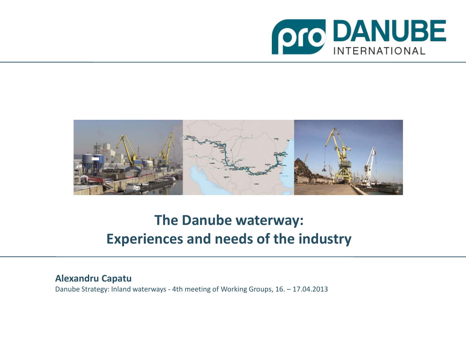



# **The Danube waterway: Experiences and needs of the industry**

#### **Alexandru Capatu**

Danube Strategy: Inland waterways - 4th meeting of Working Groups, 16. – 17.04.2013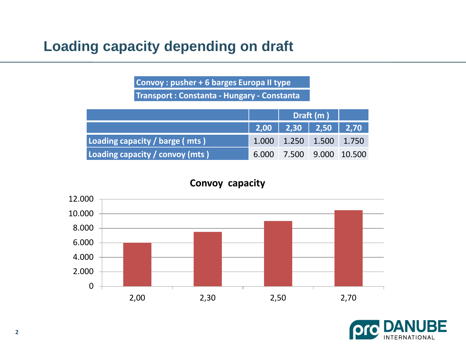# **Loading capacity depending on draft**

**Convoy : pusher + 6 barges Europa II type Transport : Constanta - Hungary - Constanta** 

|                                  |                                                     | $\vert$ Draft (m)               |  |                          |
|----------------------------------|-----------------------------------------------------|---------------------------------|--|--------------------------|
|                                  | $\vert$ 2,00 $\vert$ 2,30 $\vert$ 2,50 $\vert$ 2,70 |                                 |  |                          |
| Loading capacity / barge (mts)   |                                                     | $1.000$ $1.250$ $1.500$ $1.750$ |  |                          |
| Loading capacity / convoy (mts ) |                                                     |                                 |  | 6.000 7.500 9.000 10.500 |

#### **Convoy capacity**



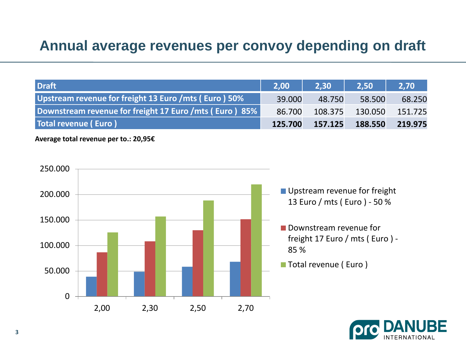#### **Annual average revenues per convoy depending on draft**

| <b>Draft</b>                                           | $\sqrt{2.00}$ | <b>2.30</b> | 2.50    | 2.70    |
|--------------------------------------------------------|---------------|-------------|---------|---------|
| Upstream revenue for freight 13 Euro / mts (Euro) 50%  | 39.000        | 48.750      | 58.500  | 68.250  |
| Downstream revenue for freight 17 Euro /mts (Euro) 85% | 86.700        | 108.375     | 130.050 | 151.725 |
| Total revenue (Euro)                                   | 125.700       | 157.125     | 188.550 | 219.975 |

**Average total revenue per to.: 20,95€**



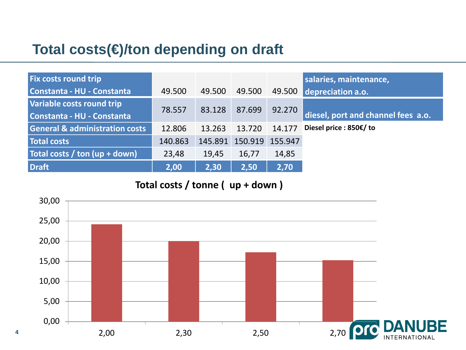# **Total costs(€)/ton depending on draft**

**4**

| <b>Fix costs round trip</b>               |         |        |                         |        | salaries, maintenance,             |
|-------------------------------------------|---------|--------|-------------------------|--------|------------------------------------|
| Constanta - HU - Constanta                | 49.500  | 49.500 | 49.500                  | 49.500 | depreciation a.o.                  |
| Variable costs round trip                 | 78.557  | 83.128 | 87.699                  | 92.270 |                                    |
| Constanta - HU - Constanta                |         |        |                         |        | diesel, port and channel fees a.o. |
| <b>General &amp; administration costs</b> | 12.806  | 13.263 | 13.720                  | 14.177 | Diesel price : 850€/ to            |
| Total costs                               | 140.863 |        | 145.891 150.919 155.947 |        |                                    |
| Total costs / ton $(up + down)$           | 23,48   | 19,45  | 16,77                   | 14,85  |                                    |
| <b>Draft</b>                              | 2,00    | 2,30   | 2,50                    | 2,70   |                                    |

**Total costs / tonne ( up + down )** 

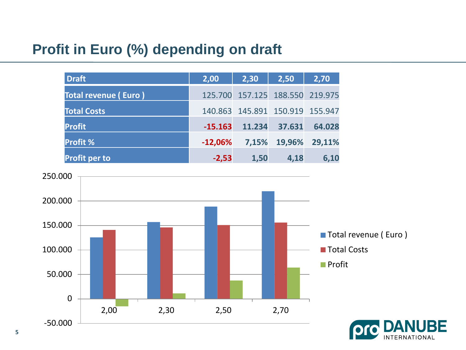# **Profit in Euro (%) depending on draft**

| <b>Draft</b>                | 2,00      | 2,30                            | 2,50   | 2,70          |
|-----------------------------|-----------|---------------------------------|--------|---------------|
| <b>Total revenue (Euro)</b> |           | 125.700 157.125 188.550 219.975 |        |               |
| <b>Total Costs</b>          |           | 140.863 145.891 150.919 155.947 |        |               |
| <b>Profit</b>               | $-15.163$ | 11.234                          | 37.631 | 64.028        |
| <b>Profit %</b>             | $-12,06%$ | 7,15%                           |        | 19,96% 29,11% |
| <b>Profit per to</b>        | $-2,53$   | 1,50                            | 4,18   | 6,10          |



BE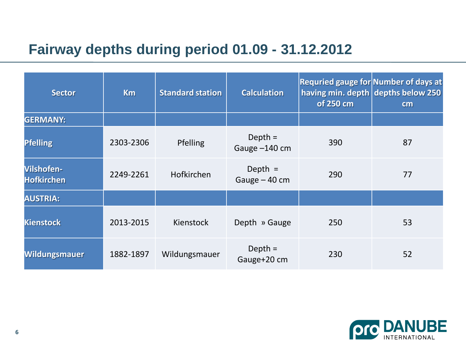# **Fairway depths during period 01.09 - 31.12.2012**

| <b>Sector</b>                   | <b>Km</b> | <b>Standard station</b> | <b>Calculation</b>          | <b>Requried gauge for Number of days at</b><br>having min. depth depths below 250<br>of 250 cm | cm |
|---------------------------------|-----------|-------------------------|-----------------------------|------------------------------------------------------------------------------------------------|----|
| <b>GERMANY:</b>                 |           |                         |                             |                                                                                                |    |
| <b>Pfelling</b>                 | 2303-2306 | Pfelling                | Depth $=$<br>Gauge -140 cm  | 390                                                                                            | 87 |
| Vilshofen-<br><b>Hofkirchen</b> | 2249-2261 | Hofkirchen              | Depth $=$<br>Gauge $-40$ cm | 290                                                                                            | 77 |
| <b>AUSTRIA:</b>                 |           |                         |                             |                                                                                                |    |
| <b>Kienstock</b>                | 2013-2015 | Kienstock               | Depth » Gauge               | 250                                                                                            | 53 |
| <b>Wildungsmauer</b>            | 1882-1897 | Wildungsmauer           | Depth $=$<br>Gauge+20 cm    | 230                                                                                            | 52 |

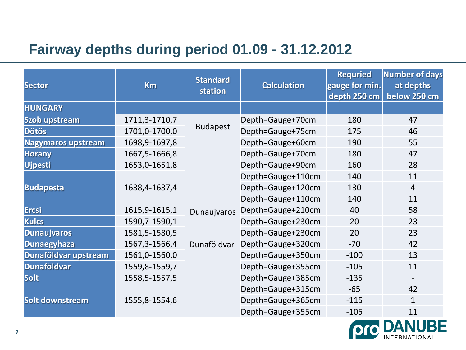# **Fairway depths during period 01.09 - 31.12.2012**

| <b>Sector</b>             | <b>Km</b>       | <b>Standard</b><br>station | <b>Calculation</b> | <b>Requried</b><br>gauge for min.<br>depth 250 cm | <b>Number of days</b><br>at depths<br>below 250 cm |
|---------------------------|-----------------|----------------------------|--------------------|---------------------------------------------------|----------------------------------------------------|
| <b>HUNGARY</b>            |                 |                            |                    |                                                   |                                                    |
| <b>Szob upstream</b>      | 1711, 3-1710, 7 |                            | Depth=Gauge+70cm   | 180                                               | 47                                                 |
| <b>Dötös</b>              | 1701,0-1700,0   | <b>Budapest</b>            | Depth=Gauge+75cm   | 175                                               | 46                                                 |
| <b>Nagymaros upstream</b> | 1698, 9-1697, 8 |                            | Depth=Gauge+60cm   | 190                                               | 55                                                 |
| <b>Horany</b>             | 1667, 5-1666, 8 |                            | Depth=Gauge+70cm   | 180                                               | 47                                                 |
| <b>Ujpesti</b>            | 1653,0-1651,8   |                            | Depth=Gauge+90cm   | 160                                               | 28                                                 |
|                           |                 |                            | Depth=Gauge+110cm  | 140                                               | 11                                                 |
| <b>Budapesta</b>          | 1638,4-1637,4   |                            | Depth=Gauge+120cm  | 130                                               | $\overline{4}$                                     |
|                           |                 |                            | Depth=Gauge+110cm  | 140                                               | 11                                                 |
| <b>Ercsi</b>              | 1615, 9-1615, 1 | Dunaujvaros                | Depth=Gauge+210cm  | 40                                                | 58                                                 |
| <b>Kulcs</b>              | 1590,7-1590,1   |                            | Depth=Gauge+230cm  | 20                                                | 23                                                 |
| <b>Dunaujvaros</b>        | 1581,5-1580,5   |                            | Depth=Gauge+230cm  | 20                                                | 23                                                 |
| <b>Dunaegyhaza</b>        | 1567, 3-1566, 4 | Dunaföldvar                | Depth=Gauge+320cm  | $-70$                                             | 42                                                 |
| Dunaföldvar upstream      | 1561,0-1560,0   |                            | Depth=Gauge+350cm  | $-100$                                            | 13                                                 |
| <b>Dunaföldvar</b>        | 1559,8-1559,7   |                            | Depth=Gauge+355cm  | $-105$                                            | 11                                                 |
| <b>Solt</b>               | 1558, 5-1557, 5 |                            | Depth=Gauge+385cm  | $-135$                                            |                                                    |
|                           |                 |                            | Depth=Gauge+315cm  | $-65$                                             | 42                                                 |
| Solt downstream           | 1555,8-1554,6   |                            | Depth=Gauge+365cm  | $-115$                                            | $\mathbf{1}$                                       |
|                           |                 |                            | Depth=Gauge+355cm  | $-105$                                            | 11                                                 |

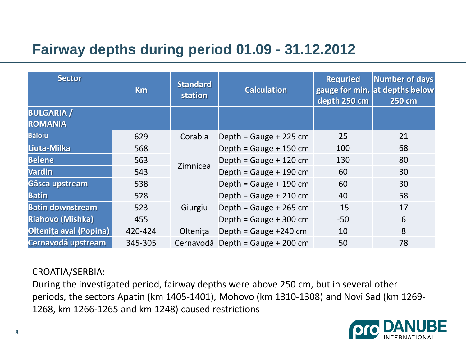# **Fairway depths during period 01.09 - 31.12.2012**

| <b>Sector</b>                       | <b>Km</b> | <b>Standard</b><br>station | <b>Calculation</b>               | <b>Requried</b><br>depth 250 cm | <b>Number of days</b><br>gauge for min. at depths below<br>250 cm |
|-------------------------------------|-----------|----------------------------|----------------------------------|---------------------------------|-------------------------------------------------------------------|
| <b>BULGARIA</b> /<br><b>ROMANIA</b> |           |                            |                                  |                                 |                                                                   |
| <b>Băloiu</b>                       | 629       | Corabia                    | Depth = Gauge + 225 cm           | 25                              | 21                                                                |
| Liuta-Milka                         | 568       |                            | Depth = Gauge + $150$ cm         | 100                             | 68                                                                |
| <b>Belene</b>                       | 563       | Zimnicea                   | Depth = Gauge + $120$ cm         | 130                             | 80                                                                |
| <b>Vardin</b>                       | 543       |                            | Depth = Gauge + $190$ cm         | 60                              | 30                                                                |
| Gâsca upstream                      | 538       |                            | Depth = $Gauge + 190 cm$         | 60                              | 30                                                                |
| <b>Batin</b>                        | 528       |                            | Depth = $Gauge + 210 cm$         | 40                              | 58                                                                |
| <b>Batin downstream</b>             | 523       | Giurgiu                    | Depth = Gauge + 265 cm           | $-15$                           | 17                                                                |
| <b>Riahovo (Mishka)</b>             | 455       |                            | Depth = Gauge + 300 cm           | $-50$                           | 6                                                                 |
| Oltenița aval (Popina)              | 420-424   | Oltenita                   | Depth = Gauge $+240$ cm          | 10                              | 8                                                                 |
| Cernavodă upstream                  | 345-305   |                            | Cernavodă Depth = Gauge + 200 cm | 50                              | 78                                                                |

CROATIA/SERBIA:

During the investigated period, fairway depths were above 250 cm, but in several other periods, the sectors Apatin (km 1405-1401), Mohovo (km 1310-1308) and Novi Sad (km 1269- 1268, km 1266-1265 and km 1248) caused restrictions

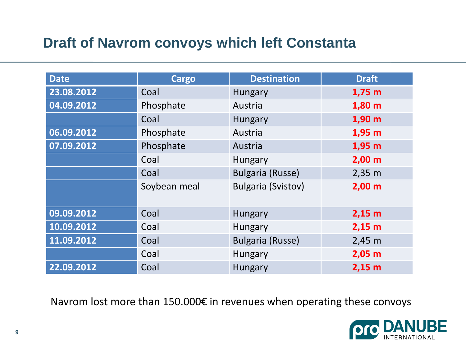# **Draft of Navrom convoys which left Constanta**

| <b>Date</b> | Cargo        | <b>Destination</b>        | <b>Draft</b>       |
|-------------|--------------|---------------------------|--------------------|
| 23.08.2012  | Coal         | Hungary                   | $1,75$ m           |
| 04.09.2012  | Phosphate    | Austria                   | $1,80$ m           |
|             | Coal         | Hungary                   | 1,90 m             |
| 06.09.2012  | Phosphate    | Austria                   | 1,95 m             |
| 07.09.2012  | Phosphate    | Austria                   | 1,95 m             |
|             | Coal         | Hungary                   | 2,00 m             |
|             | Coal         | <b>Bulgaria (Russe)</b>   | $2,35 \, \text{m}$ |
|             | Soybean meal | <b>Bulgaria (Svistov)</b> | 2,00 m             |
| 09.09.2012  | Coal         | <b>Hungary</b>            | $2,15$ m           |
| 10.09.2012  | Coal         | <b>Hungary</b>            | $2,15$ m           |
| 11.09.2012  | Coal         | <b>Bulgaria (Russe)</b>   | $2,45 \; m$        |
|             | Coal         | Hungary                   | $2,05$ m           |
| 22.09.2012  | Coal         | Hungary                   | $2,15$ m           |

Navrom lost more than 150.000€ in revenues when operating these convoys

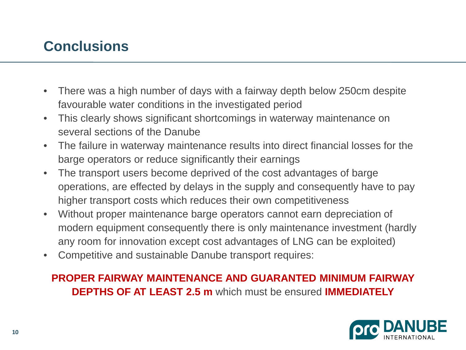# **Conclusions**

- There was a high number of days with a fairway depth below 250cm despite favourable water conditions in the investigated period
- This clearly shows significant shortcomings in waterway maintenance on several sections of the Danube
- The failure in waterway maintenance results into direct financial losses for the barge operators or reduce significantly their earnings
- The transport users become deprived of the cost advantages of barge operations, are effected by delays in the supply and consequently have to pay higher transport costs which reduces their own competitiveness
- Without proper maintenance barge operators cannot earn depreciation of modern equipment consequently there is only maintenance investment (hardly any room for innovation except cost advantages of LNG can be exploited)
- Competitive and sustainable Danube transport requires:

#### **PROPER FAIRWAY MAINTENANCE AND GUARANTED MINIMUM FAIRWAY DEPTHS OF AT LEAST 2.5 m** which must be ensured **IMMEDIATELY**

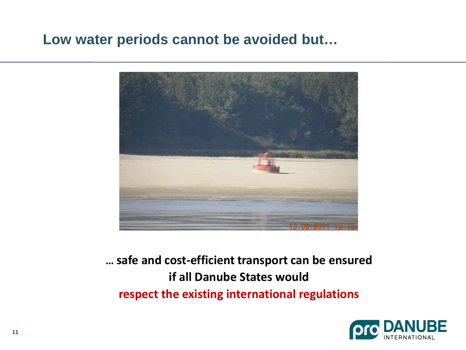#### **Low water periods cannot be avoided but…**



# **… safe and cost-efficient transport can be ensured if all Danube States would respect the existing international regulations**

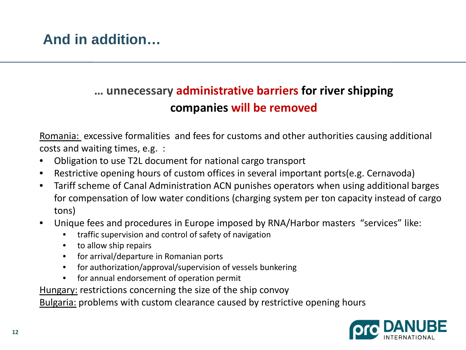#### **… unnecessary administrative barriers for river shipping companies will be removed**

Romania: excessive formalities and fees for customs and other authorities causing additional costs and waiting times, e.g. :

- Obligation to use T2L document for national cargo transport
- Restrictive opening hours of custom offices in several important ports(e.g. Cernavoda)
- Tariff scheme of Canal Administration ACN punishes operators when using additional barges for compensation of low water conditions (charging system per ton capacity instead of cargo tons)
- Unique fees and procedures in Europe imposed by RNA/Harbor masters "services" like:
	- traffic supervision and control of safety of navigation
	- to allow ship repairs
	- for arrival/departure in Romanian ports
	- for authorization/approval/supervision of vessels bunkering
	- for annual endorsement of operation permit

Hungary: restrictions concerning the size of the ship convoy

Bulgaria: problems with custom clearance caused by restrictive opening hours